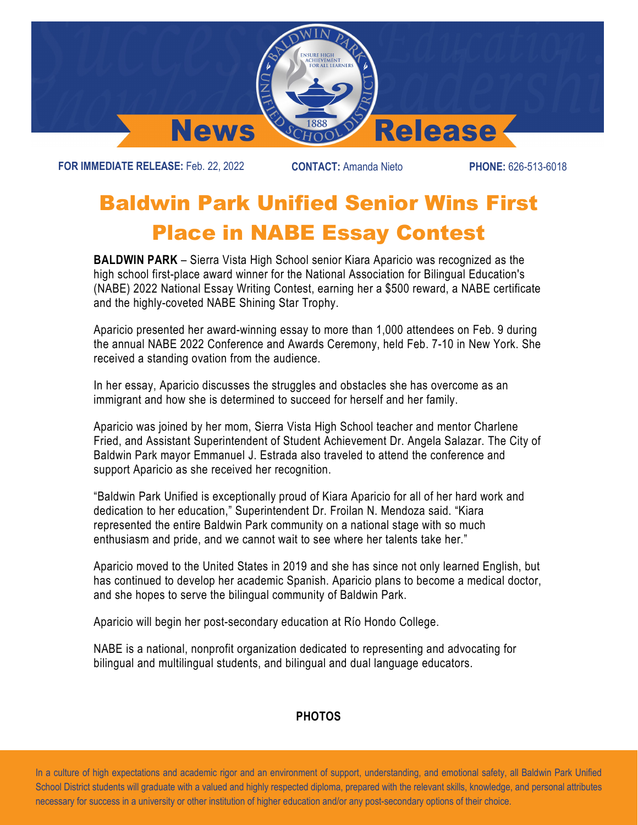

**FOR IMMEDIATE RELEASE:** Feb. 22, 2022 **CONTACT:** Amanda Nieto **PHONE:** 626-513-6018

## Baldwin Park Unified Senior Wins First Place in NABE Essay Contest

**BALDWIN PARK** – Sierra Vista High School senior Kiara Aparicio was recognized as the high school first-place award winner for the National Association for Bilingual Education's (NABE) 2022 National Essay Writing Contest, earning her a \$500 reward, a NABE certificate and the highly-coveted NABE Shining Star Trophy.

Aparicio presented her award-winning essay to more than 1,000 attendees on Feb. 9 during the annual NABE 2022 Conference and Awards Ceremony, held Feb. 7-10 in New York. She received a standing ovation from the audience.

In her essay, Aparicio discusses the struggles and obstacles she has overcome as an immigrant and how she is determined to succeed for herself and her family.

Aparicio was joined by her mom, Sierra Vista High School teacher and mentor Charlene Fried, and Assistant Superintendent of Student Achievement Dr. Angela Salazar. The City of Baldwin Park mayor Emmanuel J. Estrada also traveled to attend the conference and support Aparicio as she received her recognition.

"Baldwin Park Unified is exceptionally proud of Kiara Aparicio for all of her hard work and dedication to her education," Superintendent Dr. Froilan N. Mendoza said. "Kiara represented the entire Baldwin Park community on a national stage with so much enthusiasm and pride, and we cannot wait to see where her talents take her."

Aparicio moved to the United States in 2019 and she has since not only learned English, but has continued to develop her academic Spanish. Aparicio plans to become a medical doctor, and she hopes to serve the bilingual community of Baldwin Park.

Aparicio will begin her post-secondary education at Río Hondo College.

NABE is a national, nonprofit organization dedicated to representing and advocating for bilingual and multilingual students, and bilingual and dual language educators.

## **PHOTOS**

 In a culture of high expectations and academic rigor and an environment of support, understanding, and emotional safety, all Baldwin Park Unified School District students will graduate with a valued and highly respected diploma, prepared with the relevant skills, knowledge, and personal attributes necessary for success in a university or other institution of higher education and/or any post-secondary options of their choice.